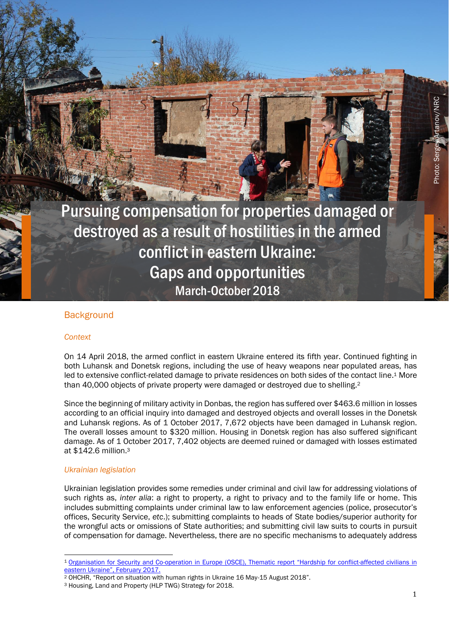Pursuing compensation for properties damaged or destroyed as a result of hostilities in the armed conflict in eastern Ukraine: Gaps and opportunities March-October 2018

# **Background**

#### *Context*

On 14 April 2018, the armed conflict in eastern Ukraine entered its fifth year. Continued fighting in both Luhansk and Donetsk regions, including the use of heavy weapons near populated areas, has led to extensive conflict-related damage to private residences on both sides of the contact line.<sup>1</sup> More than 40,000 objects of private property were damaged or destroyed due to shelling. 2

Since the beginning of military activity in Donbas, the region has suffered over \$463.6 million in losses according to an official inquiry into damaged and destroyed objects and overall losses in the Donetsk and Luhansk regions. As of 1 October 2017, 7,672 objects have been damaged in Luhansk region. The overall losses amount to \$320 million. Housing in Donetsk region has also suffered significant damage. As of 1 October 2017, 7,402 objects are deemed ruined or damaged with losses estimated at \$142.6 million. 3

#### *Ukrainian legislation*

Ukrainian legislation provides some remedies under criminal and civil law for addressing violations of such rights as, *inter alia*: a right to property, a right to privacy and to the family life or home. This includes submitting complaints under criminal law to law enforcement agencies (police, prosecutor's offices, Security Service, *etc*.); submitting complaints to heads of State bodies/superior authority for the wrongful acts or omissions of State authorities; and submitting civil law suits to courts in pursuit of compensation for damage. Nevertheless, there are no specific mechanisms to adequately address Photo: Sergey Artanov/NRC

<sup>1</sup> <sup>1</sup> Organisation for Security and Co-[operation in Europe \(OSCE\), Thematic report "Hardship for](https://www.osce.org/ukraine-smm/300276?download=true) conflict-affected civilians in [eastern Ukraine", February 2017.](https://www.osce.org/ukraine-smm/300276?download=true)

<sup>2</sup> OHCHR, "Report on situation with human rights in Ukraine 16 May-15 August 2018".

<sup>3</sup> Housing, Land and Property (HLP TWG) Strategy for 2018.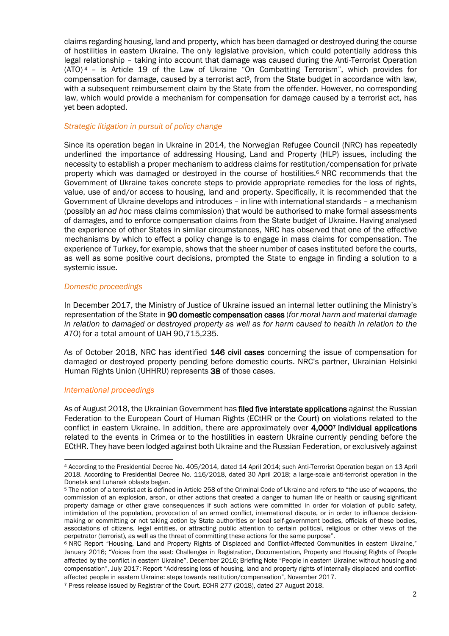claims regarding housing, land and property, which has been damaged or destroyed during the course of hostilities in eastern Ukraine. The only legislative provision, which could potentially address this legal relationship – taking into account that damage was caused during the Anti-Terrorist Operation  $(ATO)$ <sup>4</sup> – is Article 19 of the Law of Ukraine "On Combatting Terrorism", which provides for compensation for damage, caused by a terrorist act<sup>5</sup>, from the State budget in accordance with law, with a subsequent reimbursement claim by the State from the offender. However, no corresponding law, which would provide a mechanism for compensation for damage caused by a terrorist act, has yet been adopted.

#### *Strategic litigation in pursuit of policy change*

Since its operation began in Ukraine in 2014, the Norwegian Refugee Council (NRC) has repeatedly underlined the importance of addressing Housing, Land and Property (HLP) issues, including the necessity to establish a proper mechanism to address claims for restitution/compensation for private property which was damaged or destroyed in the course of hostilities.<sup>6</sup> NRC recommends that the Government of Ukraine takes concrete steps to provide appropriate remedies for the loss of rights, value, use of and/or access to housing, land and property. Specifically, it is recommended that the Government of Ukraine develops and introduces – in line with international standards – a mechanism (possibly an *ad hoc* mass claims commission) that would be authorised to make formal assessments of damages, and to enforce compensation claims from the State budget of Ukraine. Having analysed the experience of other States in similar circumstances, NRC has observed that one of the effective mechanisms by which to effect a policy change is to engage in mass claims for compensation. The experience of Turkey, for example, shows that the sheer number of cases instituted before the courts, as well as some positive court decisions, prompted the State to engage in finding a solution to a systemic issue.

#### *Domestic proceedings*

In December 2017, the Ministry of Justice of Ukraine issued an internal letter outlining the Ministry's representation of the State in 90 domestic compensation cases (*for moral harm and material damage in relation to damaged or destroyed property as well as for harm caused to health in relation to the ATO*) for a total amount of UAH 90,715,235.

As of October 2018, NRC has identified 146 civil cases concerning the issue of compensation for damaged or destroyed property pending before domestic courts. NRC's partner, Ukrainian Helsinki Human Rights Union (UHHRU) represents 38 of those cases.

#### *International proceedings*

As of August 2018, the Ukrainian Government has filed five interstate applications against the Russian Federation to the European Court of Human Rights (ECtHR or the Court) on violations related to the conflict in eastern Ukraine. In addition, there are approximately over 4,0007 individual applications related to the events in Crimea or to the hostilities in eastern Ukraine currently pending before the ECtHR. They have been lodged against both Ukraine and the Russian Federation, or exclusively against

<sup>&</sup>lt;u>.</u> <sup>4</sup> According to the Presidential Decree No. 405/2014, dated 14 April 2014; such Anti-Terrorist Operation began on 13 April 2018. According to Presidential Decree No. 116/2018, dated 30 April 2018; a large-scale anti-terrorist operation in the Donetsk and Luhansk oblasts began.

<sup>5</sup> The notion of a terrorist act is defined in Article 258 of the Criminal Code of Ukraine and refers to "the use of weapons, the commission of an explosion, arson, or other actions that created a danger to human life or health or causing significant property damage or other grave consequences if such actions were committed in order for violation of public safety, intimidation of the population, provocation of an armed conflict, international dispute, or in order to influence decisionmaking or committing or not taking action by State authorities or local self-government bodies, officials of these bodies, associations of citizens, legal entities, or attracting public attention to certain political, religious or other views of the perpetrator (terrorist), as well as the threat of committing these actions for the same purpose".

<sup>&</sup>lt;sup>6</sup> NRC Report "Housing, Land and Property Rights of Displaced and Conflict-Affected Communities in eastern Ukraine," January 2016; "Voices from the east: Challenges in Registration, Documentation, Property and Housing Rights of People affected by the conflict in eastern Ukraine", December 2016; Briefing Note "People in eastern Ukraine: without housing and compensation", July 2017; Report "Addressing loss of housing, land and property rights of internally displaced and conflictaffected people in eastern Ukraine: steps towards restitution/compensation", November 2017.

<sup>7</sup> Press release issued by Registrar of the Court. ECHR 277 (2018), dated 27 August 2018.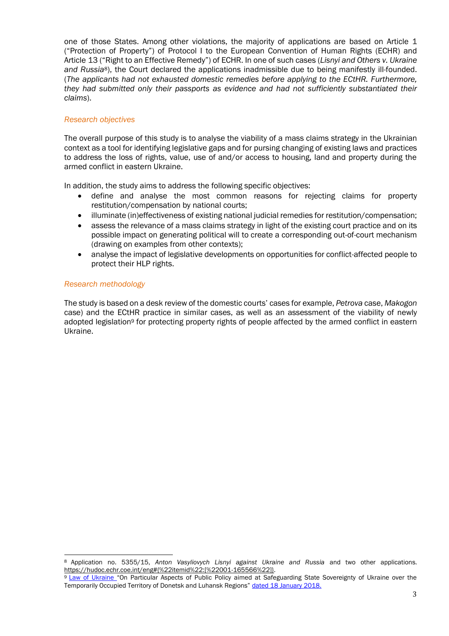one of those States. Among other violations, the majority of applications are based on Article 1 ("Protection of Property") of Protocol I to the European Convention of Human Rights (ECHR) and Article 13 ("Right to an Effective Remedy") of ECHR. In one of such cases (*Lisnyi and Others v. Ukraine and Russia*8), the Court declared the applications inadmissible due to being manifestly ill-founded. (*The applicants had not exhausted domestic remedies before applying to the ECtHR. Furthermore, they had submitted only their passports as evidence and had not sufficiently substantiated their claims*).

## *Research objectives*

The overall purpose of this study is to analyse the viability of a mass claims strategy in the Ukrainian context as a tool for identifying legislative gaps and for pursing changing of existing laws and practices to address the loss of rights, value, use of and/or access to housing, land and property during the armed conflict in eastern Ukraine.

In addition, the study aims to address the following specific objectives:

- define and analyse the most common reasons for rejecting claims for property restitution/compensation by national courts;
- illuminate (in)effectiveness of existing national judicial remedies for restitution/compensation;
- assess the relevance of a mass claims strategy in light of the existing court practice and on its possible impact on generating political will to create a corresponding out-of-court mechanism (drawing on examples from other contexts);
- analyse the impact of legislative developments on opportunities for conflict-affected people to protect their HLP rights.

## *Research methodology*

1

The study is based on a desk review of the domestic courts' cases for example, *Petrova* case, *Makogon* case) and the ECtHR practice in similar cases, as well as an assessment of the viability of newly adopted legislation<sup>9</sup> for protecting property rights of people affected by the armed conflict in eastern Ukraine.

<sup>8</sup> Application no. 5355/15, *Anton Vasyliovych Lisnyi against Ukraine and Russia* and two other applications. [https://hudoc.echr.coe.int/eng#{%22itemid%22:\[%22001-165566%22\]}.](https://hudoc.echr.coe.int/eng#{%22itemid%22:[%22001-165566%22]})

<sup>9</sup> Law of Ukraine "On Particular Aspects of Public Policy aimed at Safeguarding State Sovereignty of Ukraine over the [Temporarily Occupied Territory of Donetsk and Luhansk Regions"](http://zakon3.rada.gov.ua/laws/show/2268-19.) dated 18 January 2018.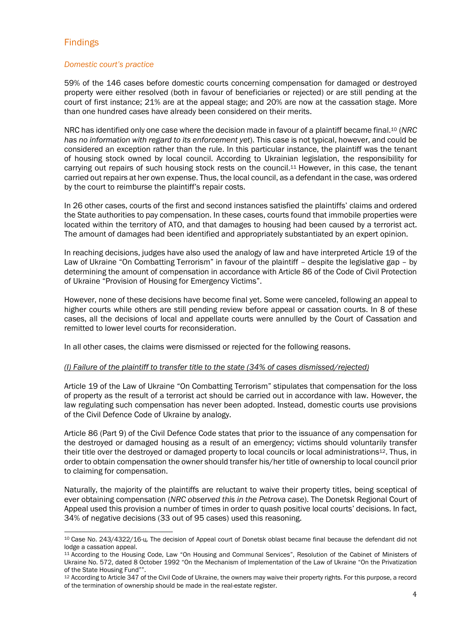# Findings

## *Domestic court's practice*

59% of the 146 cases before domestic courts concerning compensation for damaged or destroyed property were either resolved (both in favour of beneficiaries or rejected) or are still pending at the court of first instance; 21% are at the appeal stage; and 20% are now at the cassation stage. More than one hundred cases have already been considered on their merits.

NRC has identified only one case where the decision made in favour of a plaintiff became final. <sup>10</sup> (*NRC has no information with regard to its enforcement yet*). This case is not typical, however, and could be considered an exception rather than the rule. In this particular instance, the plaintiff was the tenant of housing stock owned by local council. According to Ukrainian legislation, the responsibility for carrying out repairs of such housing stock rests on the council.<sup>11</sup> However, in this case, the tenant carried out repairs at her own expense. Thus, the local council, as a defendant in the case, was ordered by the court to reimburse the plaintiff's repair costs.

In 26 other cases, courts of the first and second instances satisfied the plaintiffs' claims and ordered the State authorities to pay compensation. In these cases, courts found that immobile properties were located within the territory of ATO, and that damages to housing had been caused by a terrorist act. The amount of damages had been identified and appropriately substantiated by an expert opinion.

In reaching decisions, judges have also used the analogy of law and have interpreted Article 19 of the Law of Ukraine "On Combatting Terrorism" in favour of the plaintiff – despite the legislative gap – by determining the amount of compensation in accordance with Article 86 of the Code of Civil Protection of Ukraine "Provision of Housing for Emergency Victims".

However, none of these decisions have become final yet. Some were canceled, following an appeal to higher courts while others are still pending review before appeal or cassation courts. In 8 of these cases, all the decisions of local and appellate courts were annulled by the Court of Cassation and remitted to lower level courts for reconsideration.

In all other cases, the claims were dismissed or rejected for the following reasons.

#### *(I) Failure of the plaintiff to transfer title to the state (34% of cases dismissed/rejected)*

Article 19 of the Law of Ukraine "On Combatting Terrorism" stipulates that compensation for the loss of property as the result of a terrorist act should be carried out in accordance with law. However, the law regulating such compensation has never been adopted. Instead, domestic courts use provisions of the Civil Defence Code of Ukraine by analogy.

Article 86 (Part 9) of the Civil Defence Code states that prior to the issuance of any compensation for the destroyed or damaged housing as a result of an emergency; victims should voluntarily transfer their title over the destroyed or damaged property to local councils or local administrations<sup>12</sup>. Thus, in order to obtain compensation the owner should transfer his/her title of ownership to local council prior to claiming for compensation.

Naturally, the majority of the plaintiffs are reluctant to waive their property titles, being sceptical of ever obtaining compensation (*NRC observed this in the Petrova case*). The Donetsk Regional Court of Appeal used this provision a number of times in order to quash positive local courts' decisions. In fact, 34% of negative decisions (33 out of 95 cases) used this reasoning.

<sup>1</sup> <sup>10</sup> Case No. 243/4322/16-ц. The decision of Appeal court of Donetsk oblast became final because the defendant did not lodge a cassation appeal.

<sup>11</sup> According to the Housing Code, Law "On Housing and Communal Services", Resolution of the Cabinet of Ministers of Ukraine No. 572, dated 8 October 1992 "On the Mechanism of Implementation of the Law of Ukraine "On the Privatization of the State Housing Fund"".

<sup>12</sup> According to Article 347 of the Civil Code of Ukraine, the owners may waive their property rights. For this purpose, a record of the termination of ownership should be made in the real-estate register.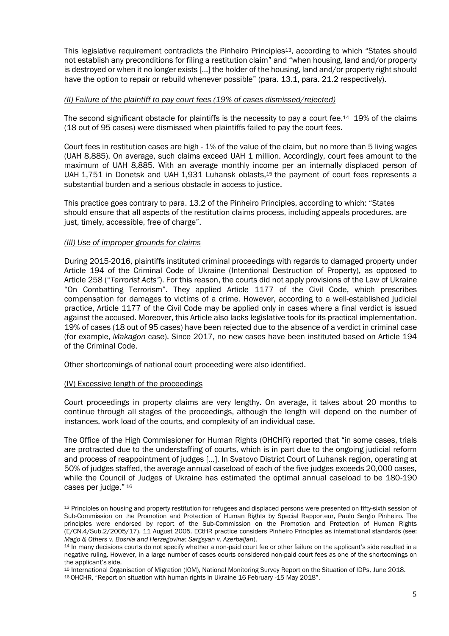This legislative requirement contradicts the Pinheiro Principles13, according to which "States should not establish any preconditions for filing a restitution claim" and "when housing, land and/or property is destroyed or when it no longer exists […] the holder of the housing, land and/or property right should have the option to repair or rebuild whenever possible" (para. 13.1, para. 21.2 respectively).

#### *(II) Failure of the plaintiff to pay court fees (19% of cases dismissed/rejected)*

The second significant obstacle for plaintiffs is the necessity to pay a court fee.<sup>14</sup> 19% of the claims (18 out of 95 cases) were dismissed when plaintiffs failed to pay the court fees.

Court fees in restitution cases are high - 1% of the value of the claim, but no more than 5 living wages (UAH 8,885). On average, such claims exceed UAH 1 million. Accordingly, court fees amount to the maximum of UAH 8,885. With an average monthly income per an internally displaced person of UAH 1,751 in Donetsk and UAH 1,931 Luhansk oblasts,<sup>15</sup> the payment of court fees represents a substantial burden and a serious obstacle in access to justice.

This practice goes contrary to para. 13.2 of the Pinheiro Principles, according to which: "States should ensure that all aspects of the restitution claims process, including appeals procedures, are just, timely, accessible, free of charge".

#### *(III) Use of improper grounds for claims*

During 2015-2016, plaintiffs instituted criminal proceedings with regards to damaged property under Article 194 of the Criminal Code of Ukraine (Intentional Destruction of Property), as opposed to Article 258 ("*Terrorist Acts"*). For this reason, the courts did not apply provisions of the Law of Ukraine "On Combatting Terrorism". They applied Article 1177 of the Civil Code, which prescribes compensation for damages to victims of a crime. However, according to a well-established judicial practice, Article 1177 of the Civil Code may be applied only in cases where a final verdict is issued against the accused. Moreover, this Article also lacks legislative tools for its practical implementation. 19% of cases (18 out of 95 cases) have been rejected due to the absence of a verdict in criminal case (for example, *Makagon* case). Since 2017, no new cases have been instituted based on Article 194 of the Criminal Code.

Other shortcomings of national court proceeding were also identified.

#### (IV) Excessive length of the proceedings

Court proceedings in property claims are very lengthy. On average, it takes about 20 months to continue through all stages of the proceedings, although the length will depend on the number of instances, work load of the courts, and complexity of an individual case.

The Office of the High Commissioner for Human Rights (OHCHR) reported that "in some cases, trials are protracted due to the understaffing of courts, which is in part due to the ongoing judicial reform and process of reappointment of judges [...]. In Svatovo District Court of Luhansk region, operating at 50% of judges staffed, the average annual caseload of each of the five judges exceeds 20,000 cases, while the Council of Judges of Ukraine has estimated the optimal annual caseload to be 180-190 cases per judge." 16

<sup>-</sup>13 Principles on housing and property restitution for refugees and displaced persons were presented on fifty-sixth session of Sub-Commission on the Promotion and Protection of Human Rights by Special Rapporteur, Paulo Sergio Pinheiro. The principles were endorsed by report of the Sub-Commission on the Promotion and Protection of Human Rights (E/CN.4/Sub.2/2005/17), 11 August 2005. ECtHR practice considers Pinheiro Principles as international standards (see: *Mago & Others v. Bosnia and Herzegovina*; *Sargsyan v. Azerbaijan*).

<sup>14</sup> In many decisions courts do not specify whether a non-paid court fee or other failure on the applicant's side resulted in a negative ruling. However, in a large number of cases courts considered non-paid court fees as one of the shortcomings on the applicant's side.

<sup>15</sup> International Organisation of Migration (IOM), National Monitoring Survey Report on the Situation of IDPs, June 2018. <sup>16</sup>OHCHR, "Report on situation with human rights in Ukraine 16 February -15 May 2018".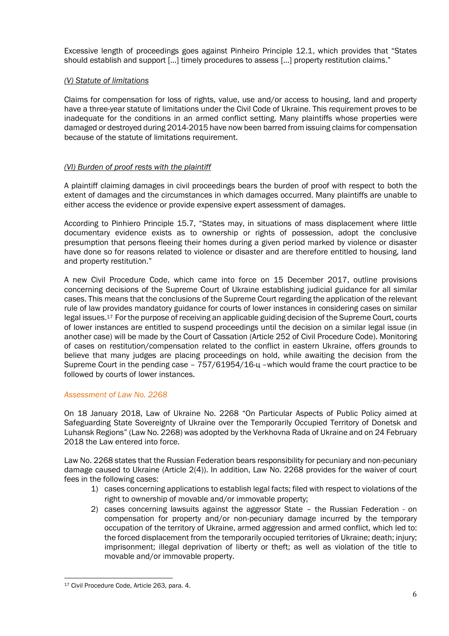Excessive length of proceedings goes against Pinheiro Principle 12.1, which provides that "States should establish and support […] timely procedures to assess […] property restitution claims."

## *(V) Statute of limitations*

Claims for compensation for loss of rights, value, use and/or access to housing, land and property have a three-year statute of limitations under the Civil Code of Ukraine. This requirement proves to be inadequate for the conditions in an armed conflict setting. Many plaintiffs whose properties were damaged or destroyed during 2014-2015 have now been barred from issuing claims for compensation because of the statute of limitations requirement.

# *(VI) Burden of proof rests with the plaintiff*

A plaintiff claiming damages in civil proceedings bears the burden of proof with respect to both the extent of damages and the circumstances in which damages occurred. Many plaintiffs are unable to either access the evidence or provide expensive expert assessment of damages.

According to Pinhiero Principle 15.7, "States may, in situations of mass displacement where little documentary evidence exists as to ownership or rights of possession, adopt the conclusive presumption that persons fleeing their homes during a given period marked by violence or disaster have done so for reasons related to violence or disaster and are therefore entitled to housing, land and property restitution."

A new Civil Procedure Code, which came into force on 15 December 2017, outline provisions concerning decisions of the Supreme Court of Ukraine establishing judicial guidance for all similar cases. This means that the conclusions of the Supreme Court regarding the application of the relevant rule of law provides mandatory guidance for courts of lower instances in considering cases on similar legal issues.<sup>17</sup> For the purpose of receiving an applicable guiding decision of the Supreme Court, courts of lower instances are entitled to suspend proceedings until the decision on a similar legal issue (in another case) will be made by the Court of Cassation (Article 252 of Civil Procedure Code). Monitoring of cases on restitution/compensation related to the conflict in eastern Ukraine, offers grounds to believe that many judges are placing proceedings on hold, while awaiting the decision from the Supreme Court in the pending case – 757/61954/16-ц –which would frame the court practice to be followed by courts of lower instances.

# *Assessment of Law No. 2268*

On 18 January 2018, Law of Ukraine No. 2268 "On Particular Aspects of Public Policy aimed at Safeguarding State Sovereignty of Ukraine over the Temporarily Occupied Territory of Donetsk and Luhansk Regions" (Law No. 2268) was adopted by the Verkhovna Rada of Ukraine and on 24 February 2018 the Law entered into force.

Law No. 2268 states that the Russian Federation bears responsibility for pecuniary and non-pecuniary damage caused to Ukraine (Article 2(4)). In addition, Law No. 2268 provides for the waiver of court fees in the following cases:

- 1) cases concerning applications to establish legal facts; filed with respect to violations of the right to ownership of movable and/or immovable property;
- 2) cases concerning lawsuits against the aggressor State the Russian Federation on compensation for property and/or non-pecuniary damage incurred by the temporary occupation of the territory of Ukraine, armed aggression and armed conflict, which led to: the forced displacement from the temporarily occupied territories of Ukraine; death; injury; imprisonment; illegal deprivation of liberty or theft; as well as violation of the title to movable and/or immovable property.

<sup>1</sup> <sup>17</sup> Civil Procedure Code, Article 263, para. 4.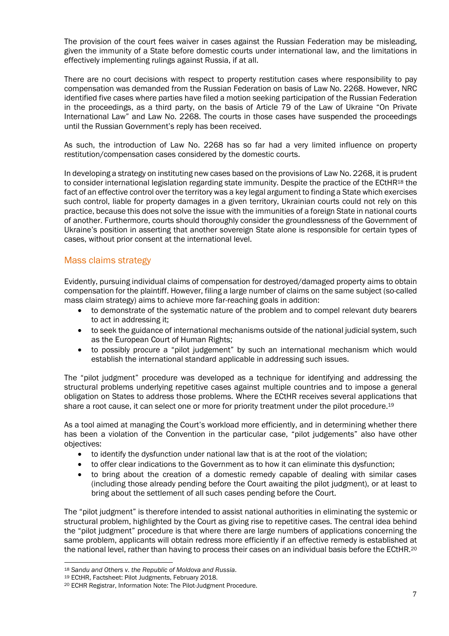The provision of the court fees waiver in cases against the Russian Federation may be misleading, given the immunity of a State before domestic courts under international law, and the limitations in effectively implementing rulings against Russia, if at all.

There are no court decisions with respect to property restitution cases where responsibility to pay compensation was demanded from the Russian Federation on basis of Law No. 2268. However, NRC identified five cases where parties have filed a motion seeking participation of the Russian Federation in the proceedings, as a third party, on the basis of Article 79 of the Law of Ukraine "On Private International Law" and Law No. 2268. The courts in those cases have suspended the proceedings until the Russian Government's reply has been received.

As such, the introduction of Law No. 2268 has so far had a very limited influence on property restitution/compensation cases considered by the domestic courts.

In developing a strategy on instituting new cases based on the provisions of Law No. 2268, it is prudent to consider international legislation regarding state immunity. Despite the practice of the ECtHR<sup>18</sup> the fact of an effective control over the territory was a key legal argument to finding a State which exercises such control, liable for property damages in a given territory, Ukrainian courts could not rely on this practice, because this does not solve the issue with the immunities of a foreign State in national courts of another. Furthermore, courts should thoroughly consider the groundlessness of the Government of Ukraine's position in asserting that another sovereign State alone is responsible for certain types of cases, without prior consent at the international level.

# Mass claims strategy

Evidently, pursuing individual claims of compensation for destroyed/damaged property aims to obtain compensation for the plaintiff. However, filing a large number of claims on the same subject (so-called mass claim strategy) aims to achieve more far-reaching goals in addition:

- to demonstrate of the systematic nature of the problem and to compel relevant duty bearers to act in addressing it;
- to seek the guidance of international mechanisms outside of the national judicial system, such as the European Court of Human Rights;
- to possibly procure a "pilot judgement" by such an international mechanism which would establish the international standard applicable in addressing such issues.

The "pilot judgment" procedure was developed as a technique for identifying and addressing the structural problems underlying repetitive cases against multiple countries and to impose a general obligation on States to address those problems. Where the ECtHR receives several applications that share a root cause, it can select one or more for priority treatment under the pilot procedure.<sup>19</sup>

As a tool aimed at managing the Court's workload more efficiently, and in determining whether there has been a violation of the Convention in the particular case, "pilot judgements" also have other objectives:

- to identify the dysfunction under national law that is at the root of the violation;
- to offer clear indications to the Government as to how it can eliminate this dysfunction;
- to bring about the creation of a domestic remedy capable of dealing with similar cases (including those already pending before the Court awaiting the pilot judgment), or at least to bring about the settlement of all such cases pending before the Court.

The "pilot judgment" is therefore intended to assist national authorities in eliminating the systemic or structural problem, highlighted by the Court as giving rise to repetitive cases. The central idea behind the "pilot judgment" procedure is that where there are large numbers of applications concerning the same problem, applicants will obtain redress more efficiently if an effective remedy is established at the national level, rather than having to process their cases on an individual basis before the ECtHR.<sup>20</sup>

<sup>1</sup> <sup>18</sup> *[Sandu and Others v. the Republic of Moldova and Russia](https://hudoc.echr.coe.int/eng#{"itemid":["001-184651"]})*.

<sup>19</sup> ECtHR, Factsheet: Pilot Judgments, February 2018.

<sup>20</sup> ECHR Registrar, Information Note: The Pilot-Judgment Procedure.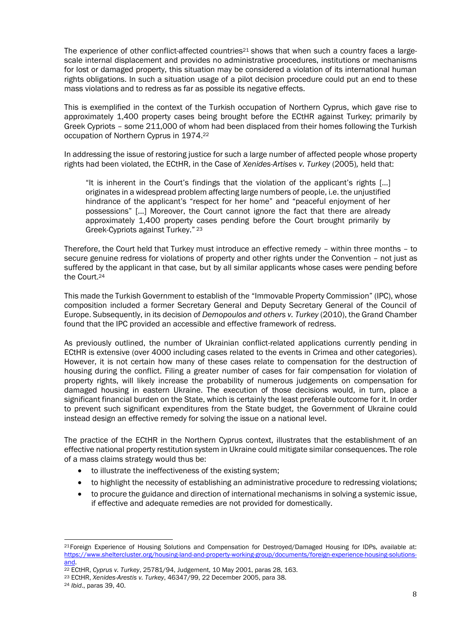The experience of other conflict-affected countries<sup>21</sup> shows that when such a country faces a largescale internal displacement and provides no administrative procedures, institutions or mechanisms for lost or damaged property, this situation may be considered a violation of its international human rights obligations. In such a situation usage of a pilot decision procedure could put an end to these mass violations and to redress as far as possible its negative effects.

This is exemplified in the context of the Turkish occupation of Northern Cyprus, which gave rise to approximately 1,400 property cases being brought before the ECtHR against Turkey; primarily by Greek Cypriots – some 211,000 of whom had been displaced from their homes following the Turkish occupation of Northern Cyprus in 1974.<sup>22</sup>

In addressing the issue of restoring justice for such a large number of affected people whose property rights had been violated, the ECtHR, in the Case of *Xenides-Artises v. Turkey* (2005)*,* held that:

"It is inherent in the Court's findings that the violation of the applicant's rights […] originates in a widespread problem affecting large numbers of people, i.e. the unjustified hindrance of the applicant's "respect for her home" and "peaceful enjoyment of her possessions" [...] Moreover, the Court cannot ignore the fact that there are already approximately 1,400 property cases pending before the Court brought primarily by Greek-Cypriots against Turkey." <sup>23</sup>

Therefore, the Court held that Turkey must introduce an effective remedy – within three months – to secure genuine redress for violations of property and other rights under the Convention – not just as suffered by the applicant in that case, but by all similar applicants whose cases were pending before the Court.<sup>24</sup>

This made the Turkish Government to establish of the "Immovable Property Commission" (IPC), whose composition included a former Secretary General and Deputy Secretary General of the Council of Europe. Subsequently, in its decision of *Demopoulos and others v. Turkey* (2010), the Grand Chamber found that the IPC provided an accessible and effective framework of redress.

As previously outlined, the number of Ukrainian conflict-related applications currently pending in ECtHR is extensive (over 4000 including cases related to the events in Crimea and other categories). However, it is not certain how many of these cases relate to compensation for the destruction of housing during the conflict. Filing a greater number of cases for fair compensation for violation of property rights, will likely increase the probability of numerous judgements on compensation for damaged housing in eastern Ukraine. The execution of those decisions would, in turn, place a significant financial burden on the State, which is certainly the least preferable outcome for it. In order to prevent such significant expenditures from the State budget, the Government of Ukraine could instead design an effective remedy for solving the issue on a national level.

The practice of the ECtHR in the Northern Cyprus context, illustrates that the establishment of an effective national property restitution system in Ukraine could mitigate similar consequences. The role of a mass claims strategy would thus be:

- to illustrate the ineffectiveness of the existing system;
- to highlight the necessity of establishing an administrative procedure to redressing violations;
- to procure the guidance and direction of international mechanisms in solving a systemic issue, if effective and adequate remedies are not provided for domestically.

<sup>1</sup> <sup>21</sup>Foreign Experience of Housing Solutions and Compensation for Destroyed/Damaged Housing for IDPs, available at: [https://www.sheltercluster.org/housing-land-and-property-working-group/documents/foreign-experience-housing-solutions](https://www.sheltercluster.org/housing-land-and-property-working-group/documents/foreign-experience-housing-solutions-and)[and.](https://www.sheltercluster.org/housing-land-and-property-working-group/documents/foreign-experience-housing-solutions-and)

<sup>22</sup> ECtHR, *Cyprus v. Turkey*, 25781/94, Judgement, 10 May 2001, paras 28, 163.

<sup>23</sup> ECtHR, *Xenides-Arestis v. Turkey*, 46347/99, 22 December 2005, para 38.

<sup>24</sup> *Ibid*., paras 39, 40.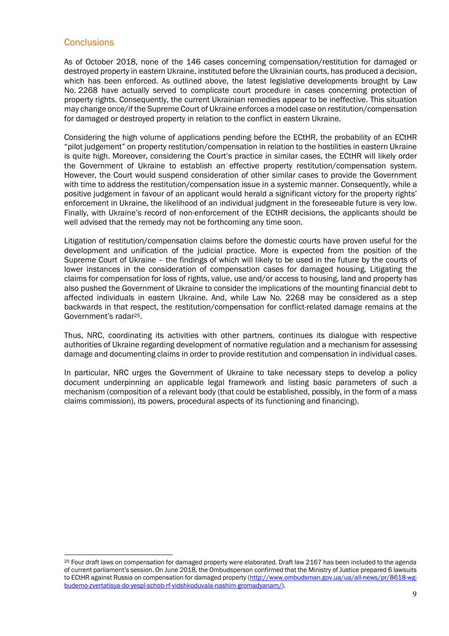# **Conclusions**

1

As of October 2018, none of the 146 cases concerning compensation/restitution for damaged or destroyed property in eastern Ukraine, instituted before the Ukrainian courts, has produced a decision, which has been enforced. As outlined above, the latest legislative developments brought by Law No. 2268 have actually served to complicate court procedure in cases concerning protection of property rights. Consequently, the current Ukrainian remedies appear to be ineffective. This situation may change once/if the Supreme Court of Ukraine enforces a model case on restitution/compensation for damaged or destroyed property in relation to the conflict in eastern Ukraine.

Considering the high volume of applications pending before the ECtHR, the probability of an ECtHR "pilot judgement" on property restitution/compensation in relation to the hostilities in eastern Ukraine is quite high. Moreover, considering the Court's practice in similar cases, the ECtHR will likely order the Government of Ukraine to establish an effective property restitution/compensation system. However, the Court would suspend consideration of other similar cases to provide the Government with time to address the restitution/compensation issue in a systemic manner. Consequently, while a positive judgement in favour of an applicant would herald a significant victory for the property rights' enforcement in Ukraine, the likelihood of an individual judgment in the foreseeable future is very low. Finally, with Ukraine's record of non-enforcement of the ECtHR decisions, the applicants should be well advised that the remedy may not be forthcoming any time soon.

Litigation of restitution/compensation claims before the domestic courts have proven useful for the development and unification of the judicial practice. More is expected from the position of the Supreme Court of Ukraine – the findings of which will likely to be used in the future by the courts of lower instances in the consideration of compensation cases for damaged housing. Litigating the claims for compensation for loss of rights, value, use and/or access to housing, land and property has also pushed the Government of Ukraine to consider the implications of the mounting financial debt to affected individuals in eastern Ukraine. And, while Law No. 2268 may be considered as a step backwards in that respect, the restitution/compensation for conflict-related damage remains at the Government's radar25.

Thus, NRC, coordinating its activities with other partners, continues its dialogue with respective authorities of Ukraine regarding development of normative regulation and a mechanism for assessing damage and documenting claims in order to provide restitution and compensation in individual cases.

In particular, NRC urges the Government of Ukraine to take necessary steps to develop a policy document underpinning an applicable legal framework and listing basic parameters of such a mechanism (composition of a relevant body (that could be established, possibly, in the form of a mass claims commission), its powers, procedural aspects of its functioning and financing).

<sup>&</sup>lt;sup>25</sup> Four draft laws on compensation for damaged property were elaborated. Draft law 2167 has been included to the agenda of current parliament's session. On June 2018, the Ombudsperson confirmed that the Ministry of Justice prepared 6 lawsuits to ECtHR against Russia on compensation for damaged property [\(http://www.ombudsman.gov.ua/ua/all-news/pr/8618-wg](http://www.ombudsman.gov.ua/ua/all-news/pr/8618-wg-budemo-zvertatisya-do-yespl-schob-rf-vidshkoduvala-nashim-gromadyanam/)[budemo-zvertatisya-do-yespl-schob-rf-vidshkoduvala-nashim-gromadyanam/\)](http://www.ombudsman.gov.ua/ua/all-news/pr/8618-wg-budemo-zvertatisya-do-yespl-schob-rf-vidshkoduvala-nashim-gromadyanam/).